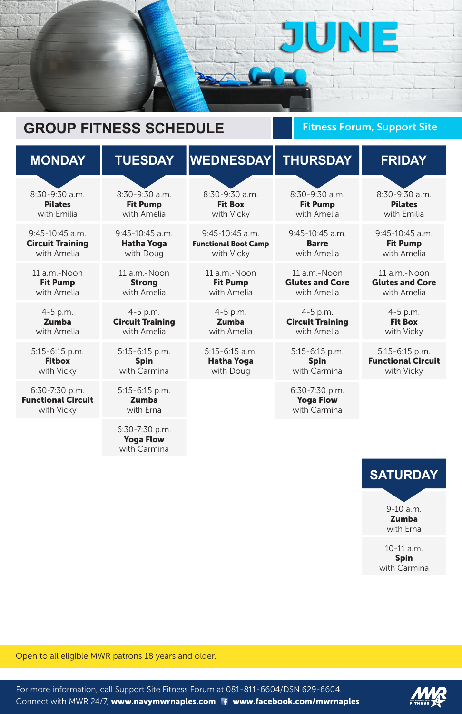

## Fitness Forum, Support Site

| <b>MONDAY</b>                                             | <b>TUESDAY</b>                                         | <b>WEDNESDAY</b>            | <b>THURSDAY</b>                                    | <b>FRIDAY</b>             |
|-----------------------------------------------------------|--------------------------------------------------------|-----------------------------|----------------------------------------------------|---------------------------|
| $8:30-9:30$ a.m.                                          | $8:30-9:30$ a.m.                                       | $8:30-9:30$ a.m.            | $8:30-9:30$ a.m.                                   | $8:30 - 9:30$ a.m.        |
| <b>Pilates</b>                                            | <b>Fit Pump</b>                                        | <b>Fit Box</b>              | <b>Fit Pump</b>                                    | <b>Pilates</b>            |
| with Emilia                                               | with Amelia                                            | with Vicky                  | with Amelia                                        | with Emilia               |
| $9:45-10:45$ a.m.                                         | $9:45-10:45$ a.m.                                      | $9:45-10:45$ a.m.           | $9:45-10:45$ a.m.                                  | $9:45-10:45$ a.m.         |
| <b>Circuit Training</b>                                   | <b>Hatha Yoga</b>                                      | <b>Functional Boot Camp</b> | <b>Barre</b>                                       | <b>Fit Pump</b>           |
| with Amelia                                               | with Doug                                              | with Vicky                  | with Amelia                                        | with Amelia               |
| 11 a.m.-Noon                                              | 11 a.m.-Noon                                           | 11 a.m.-Noon                | 11 a.m.-Noon                                       | 11 a.m.-Noon              |
| <b>Fit Pump</b>                                           | <b>Strong</b>                                          | <b>Fit Pump</b>             | <b>Glutes and Core</b>                             | <b>Glutes and Core</b>    |
| with Amelia                                               | with Amelia                                            | with Amelia                 | with Amelia                                        | with Amelia               |
| $4 - 5$ p.m.                                              | 4-5 p.m.                                               | $4 - 5$ p.m.                | 4-5 p.m.                                           | 4-5 p.m.                  |
| <b>Zumba</b>                                              | <b>Circuit Training</b>                                | <b>Zumba</b>                | <b>Circuit Training</b>                            | <b>Fit Box</b>            |
| with Amelia                                               | with Amelia                                            | with Amelia                 | with Amelia                                        | with Vicky                |
| 5:15-6:15 p.m.                                            | $5:15 - 6:15$ p.m.                                     | $5:15 - 6:15$ a.m.          | $5:15 - 6:15$ p.m.                                 | $5:15 - 6:15$ p.m.        |
| <b>Fitbox</b>                                             | <b>Spin</b>                                            | <b>Hatha Yoga</b>           | <b>Spin</b>                                        | <b>Functional Circuit</b> |
| with Vicky                                                | with Carmina                                           | with Doug                   | with Carmina                                       | with Vicky                |
| 6:30-7:30 p.m.<br><b>Functional Circuit</b><br>with Vicky | $5:15 - 6:15$ p.m.<br><b>Zumba</b><br>with Erna        |                             | 6:30-7:30 p.m.<br><b>Yoga Flow</b><br>with Carmina |                           |
|                                                           | $6:30 - 7:30$ p.m.<br><b>Yoga Flow</b><br>with Carmina |                             |                                                    |                           |

For more information, call Support Site Fitness Forum at 081-811-6604/DSN 629-6604. Connect with MWR 24/7, www.navymwrnaples.com f www.facebook.com/mwrnaples



**SATURDAY** 9-10 a.m. Zumba

with Erna

10-11 a.m. Spin with Carmina

## **GROUP FITNESS SCHEDULE**

Open to all eligible MWR patrons 18 years and older.